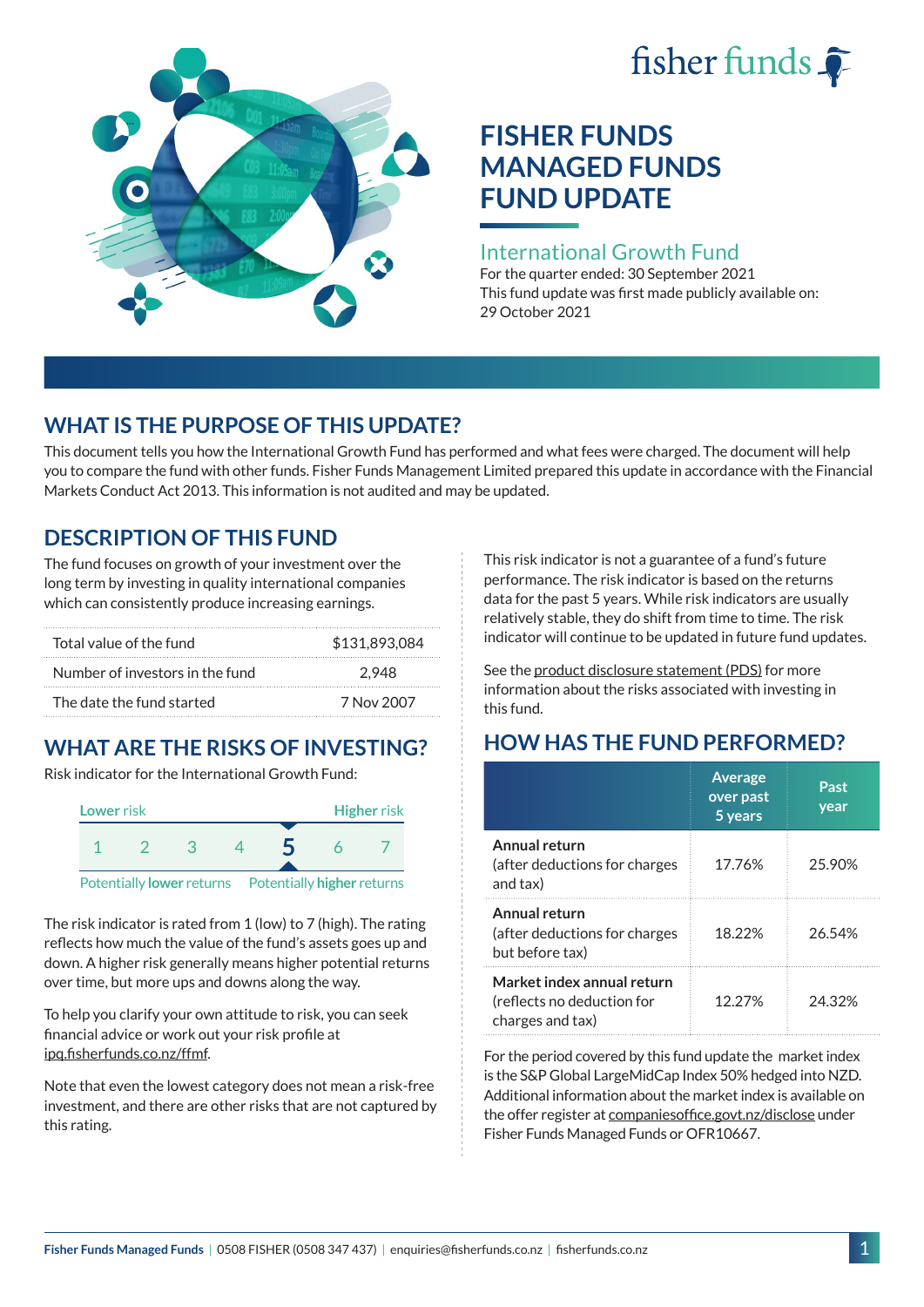# fisher funds  $\hat{\bullet}$



# **FISHER FUNDS MANAGED FUNDS FUND UPDATE**

#### International Growth Fund

For the quarter ended: 30 September 2021 This fund update was first made publicly available on: 29 October 2021

## **WHAT IS THE PURPOSE OF THIS UPDATE?**

This document tells you how the International Growth Fund has performed and what fees were charged. The document will help you to compare the fund with other funds. Fisher Funds Management Limited prepared this update in accordance with the Financial Markets Conduct Act 2013. This information is not audited and may be updated.

## **DESCRIPTION OF THIS FUND**

The fund focuses on growth of your investment over the long term by investing in quality international companies which can consistently produce increasing earnings.

| Total value of the fund         | \$131.893.084 |
|---------------------------------|---------------|
| Number of investors in the fund | 2.948         |
| The date the fund started       | 7 Nov 2007    |

## **WHAT ARE THE RISKS OF INVESTING?**

Risk indicator for the International Growth Fund:



The risk indicator is rated from 1 (low) to 7 (high). The rating reflects how much the value of the fund's assets goes up and down. A higher risk generally means higher potential returns over time, but more ups and downs along the way.

To help you clarify your own attitude to risk, you can seek financial advice or work out your risk profile at [ipq.fisherfunds.co.nz/ffmf](https://ipq.fisherfunds.co.nz/ffmf).

Note that even the lowest category does not mean a risk-free investment, and there are other risks that are not captured by this rating.

This risk indicator is not a guarantee of a fund's future performance. The risk indicator is based on the returns data for the past 5 years. While risk indicators are usually relatively stable, they do shift from time to time. The risk indicator will continue to be updated in future fund updates.

See the [product disclosure statement \(PDS\)](https://fisherfunds.co.nz/assets/PDS/Fisher-Funds-Managed-Funds-PDS.pdf) for more information about the risks associated with investing in this fund.

## **HOW HAS THE FUND PERFORMED?**

|                                                                              | <b>Average</b><br>over past<br>5 years | Past<br>year |
|------------------------------------------------------------------------------|----------------------------------------|--------------|
| Annual return<br>(after deductions for charges<br>and tax)                   | 17.76%                                 | 25.90%       |
| Annual return<br>(after deductions for charges<br>but before tax)            | 18.22%                                 | 26.54%       |
| Market index annual return<br>(reflects no deduction for<br>charges and tax) | 12.27%                                 | 24.32%       |

For the period covered by this fund update the market index is the S&P Global LargeMidCap Index 50% hedged into NZD. Additional information about the market index is available on the offer register at [companiesoffice.govt.nz/disclose](http://companiesoffice.govt.nz/disclose) under Fisher Funds Managed Funds or OFR10667.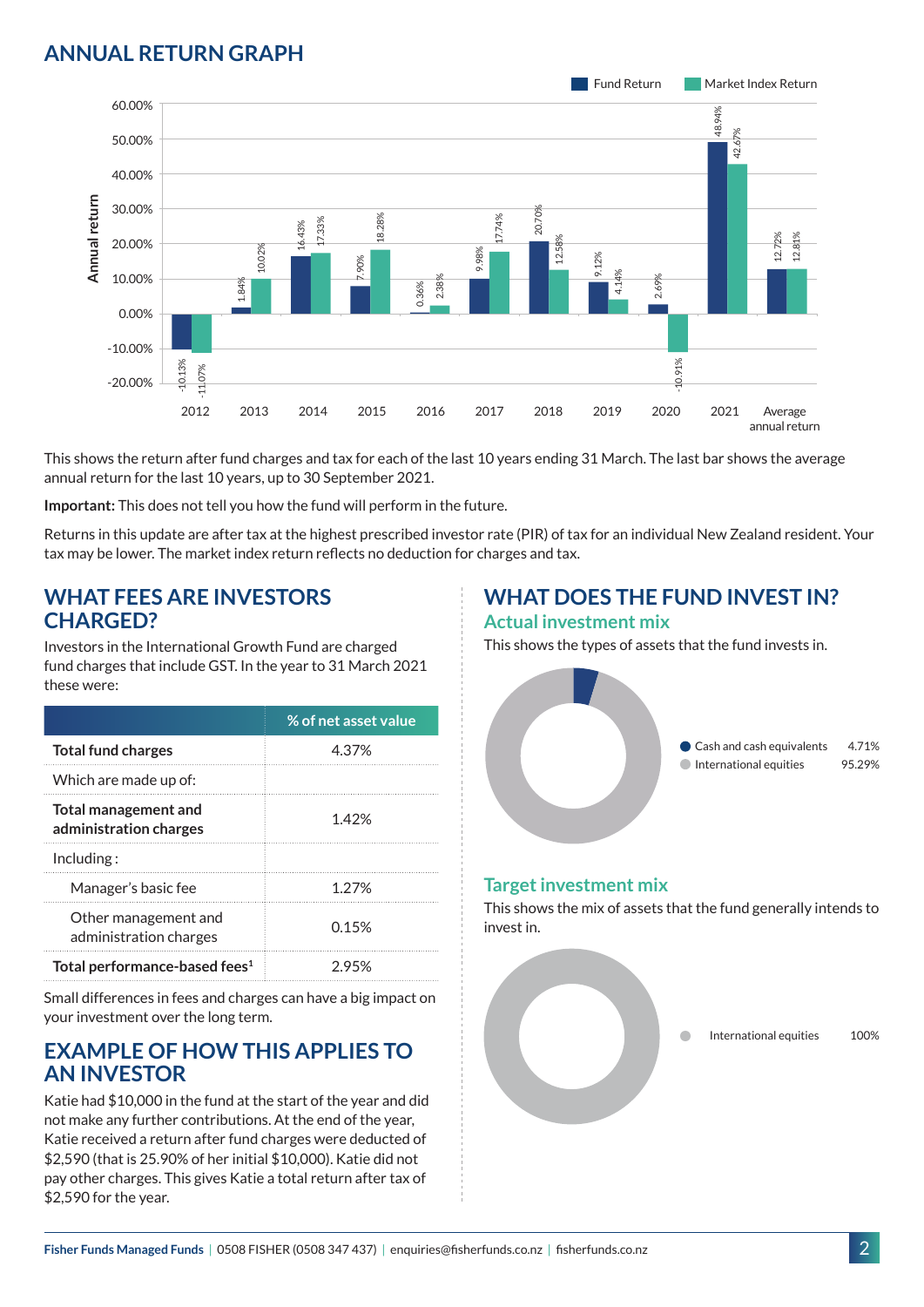## **ANNUAL RETURN GRAPH**



This shows the return after fund charges and tax for each of the last 10 years ending 31 March. The last bar shows the average annual return for the last 10 years, up to 30 September 2021.

**Important:** This does not tell you how the fund will perform in the future.

Returns in this update are after tax at the highest prescribed investor rate (PIR) of tax for an individual New Zealand resident. Your tax may be lower. The market index return reflects no deduction for charges and tax.

#### **WHAT FEES ARE INVESTORS CHARGED?**

Investors in the International Growth Fund are charged fund charges that include GST. In the year to 31 March 2021 these were:

|                                                | % of net asset value |
|------------------------------------------------|----------------------|
| <b>Total fund charges</b>                      | 4.37%                |
| Which are made up of:                          |                      |
| Total management and<br>administration charges | 1.42%                |
| Inding:                                        |                      |
| Manager's basic fee                            | 1.27%                |
| Other management and<br>administration charges | 0.15%                |
| Total performance-based fees <sup>1</sup>      | 2.95%                |

Small differences in fees and charges can have a big impact on your investment over the long term.

#### **EXAMPLE OF HOW THIS APPLIES TO AN INVESTOR**

Katie had \$10,000 in the fund at the start of the year and did not make any further contributions. At the end of the year, Katie received a return after fund charges were deducted of \$2,590 (that is 25.90% of her initial \$10,000). Katie did not pay other charges. This gives Katie a total return after tax of \$2,590 for the year.

# **WHAT DOES THE FUND INVEST IN?**

#### **Actual investment mix**

This shows the types of assets that the fund invests in.



#### **Target investment mix**

This shows the mix of assets that the fund generally intends to invest in.